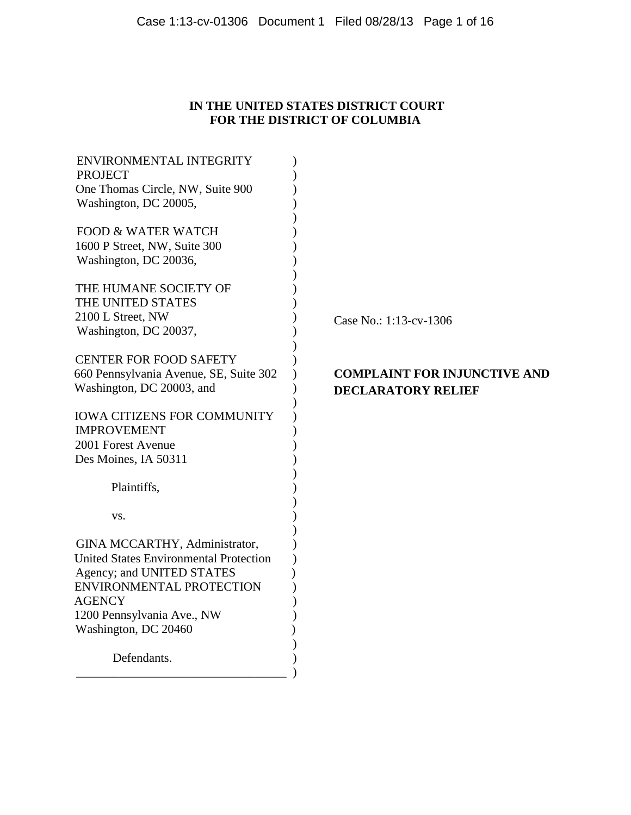# **IN THE UNITED STATES DISTRICT COURT FOR THE DISTRICT OF COLUMBIA**

| <b>ENVIRONMENTAL INTEGRITY</b>                |                       |
|-----------------------------------------------|-----------------------|
| <b>PROJECT</b>                                |                       |
| One Thomas Circle, NW, Suite 900              |                       |
| Washington, DC 20005,                         |                       |
| <b>FOOD &amp; WATER WATCH</b>                 |                       |
| 1600 P Street, NW, Suite 300                  |                       |
| Washington, DC 20036,                         |                       |
| THE HUMANE SOCIETY OF                         |                       |
| THE UNITED STATES                             |                       |
| 2100 L Street, NW                             |                       |
| Washington, DC 20037,                         |                       |
| <b>CENTER FOR FOOD SAFETY</b>                 |                       |
| 660 Pennsylvania Avenue, SE, Suite 302        |                       |
| Washington, DC 20003, and                     |                       |
| <b>IOWA CITIZENS FOR COMMUNITY</b>            |                       |
| <b>IMPROVEMENT</b>                            |                       |
| 2001 Forest Avenue                            |                       |
| Des Moines, IA 50311                          |                       |
| Plaintiffs,                                   | ) リソンソンソンソンソンソンソンソンソン |
|                                               |                       |
| VS.                                           |                       |
| GINA MCCARTHY, Administrator,                 |                       |
| <b>United States Environmental Protection</b> |                       |
| Agency; and UNITED STATES                     |                       |
| <b>ENVIRONMENTAL PROTECTION</b>               |                       |
| <b>AGENCY</b>                                 |                       |
| 1200 Pennsylvania Ave., NW                    |                       |
| Washington, DC 20460                          |                       |
| Defendants.                                   |                       |
|                                               |                       |

Case No.: 1:13-cv-1306

# **COMPLAINT FOR INJUNCTIVE AND DECLARATORY RELIEF**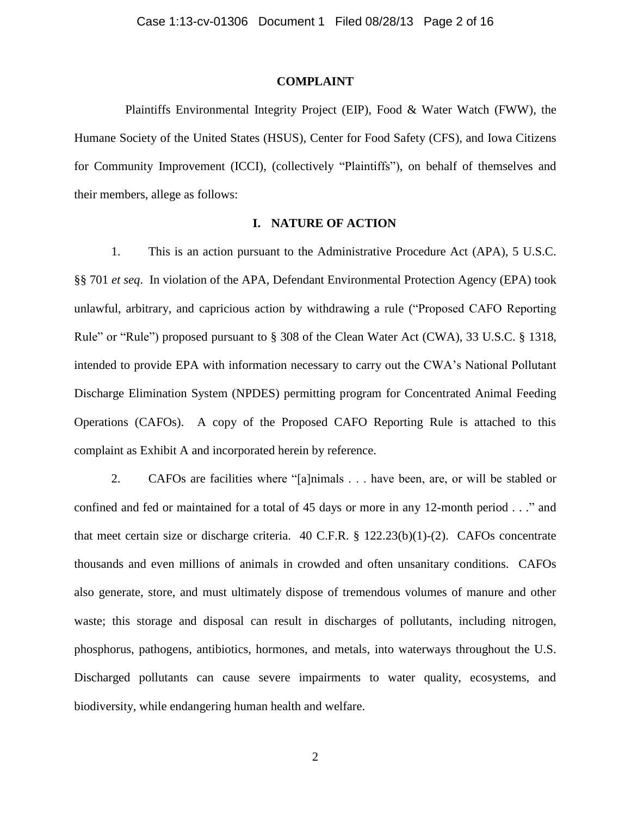#### **COMPLAINT**

Plaintiffs Environmental Integrity Project (EIP), Food & Water Watch (FWW), the Humane Society of the United States (HSUS), Center for Food Safety (CFS), and Iowa Citizens for Community Improvement (ICCI), (collectively "Plaintiffs"), on behalf of themselves and their members, allege as follows:

#### **I. NATURE OF ACTION**

1. This is an action pursuant to the Administrative Procedure Act (APA), 5 U.S.C. §§ 701 *et seq*. In violation of the APA, Defendant Environmental Protection Agency (EPA) took unlawful, arbitrary, and capricious action by withdrawing a rule ("Proposed CAFO Reporting Rule" or "Rule") proposed pursuant to § 308 of the Clean Water Act (CWA), 33 U.S.C. § 1318, intended to provide EPA with information necessary to carry out the CWA's National Pollutant Discharge Elimination System (NPDES) permitting program for Concentrated Animal Feeding Operations (CAFOs). A copy of the Proposed CAFO Reporting Rule is attached to this complaint as Exhibit A and incorporated herein by reference.

2. CAFOs are facilities where "[a]nimals . . . have been, are, or will be stabled or confined and fed or maintained for a total of 45 days or more in any 12-month period . . ." and that meet certain size or discharge criteria. 40 C.F.R. § 122.23(b)(1)-(2). CAFOs concentrate thousands and even millions of animals in crowded and often unsanitary conditions. CAFOs also generate, store, and must ultimately dispose of tremendous volumes of manure and other waste; this storage and disposal can result in discharges of pollutants, including nitrogen, phosphorus, pathogens, antibiotics, hormones, and metals, into waterways throughout the U.S. Discharged pollutants can cause severe impairments to water quality, ecosystems, and biodiversity, while endangering human health and welfare.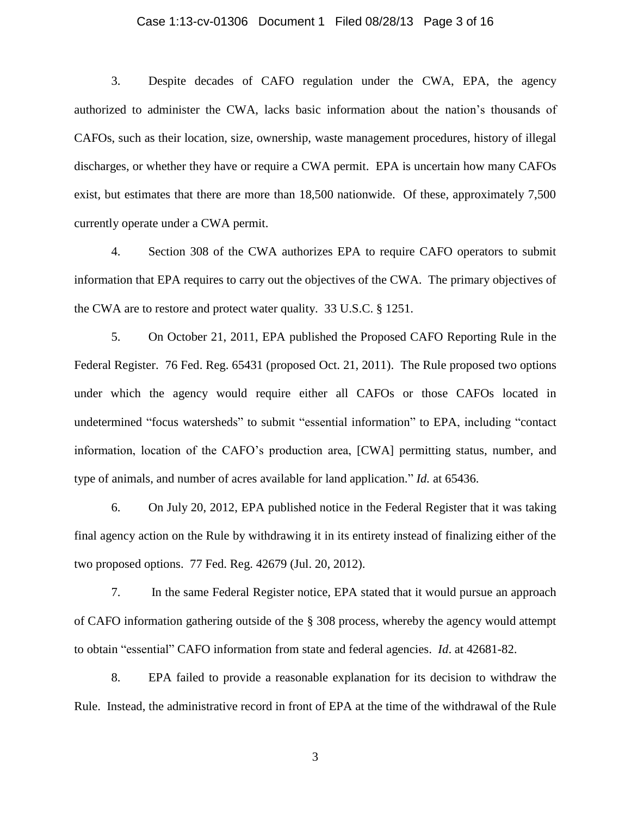#### Case 1:13-cv-01306 Document 1 Filed 08/28/13 Page 3 of 16

3. Despite decades of CAFO regulation under the CWA, EPA, the agency authorized to administer the CWA, lacks basic information about the nation's thousands of CAFOs, such as their location, size, ownership, waste management procedures, history of illegal discharges, or whether they have or require a CWA permit. EPA is uncertain how many CAFOs exist, but estimates that there are more than 18,500 nationwide. Of these, approximately 7,500 currently operate under a CWA permit.

4. Section 308 of the CWA authorizes EPA to require CAFO operators to submit information that EPA requires to carry out the objectives of the CWA. The primary objectives of the CWA are to restore and protect water quality. 33 U.S.C. § 1251.

5. On October 21, 2011, EPA published the Proposed CAFO Reporting Rule in the Federal Register. 76 Fed. Reg. 65431 (proposed Oct. 21, 2011). The Rule proposed two options under which the agency would require either all CAFOs or those CAFOs located in undetermined "focus watersheds" to submit "essential information" to EPA, including "contact information, location of the CAFO's production area, [CWA] permitting status, number, and type of animals, and number of acres available for land application." *Id.* at 65436.

6. On July 20, 2012, EPA published notice in the Federal Register that it was taking final agency action on the Rule by withdrawing it in its entirety instead of finalizing either of the two proposed options. 77 Fed. Reg. 42679 (Jul. 20, 2012).

7. In the same Federal Register notice, EPA stated that it would pursue an approach of CAFO information gathering outside of the § 308 process, whereby the agency would attempt to obtain "essential" CAFO information from state and federal agencies. *Id*. at 42681-82.

8. EPA failed to provide a reasonable explanation for its decision to withdraw the Rule. Instead, the administrative record in front of EPA at the time of the withdrawal of the Rule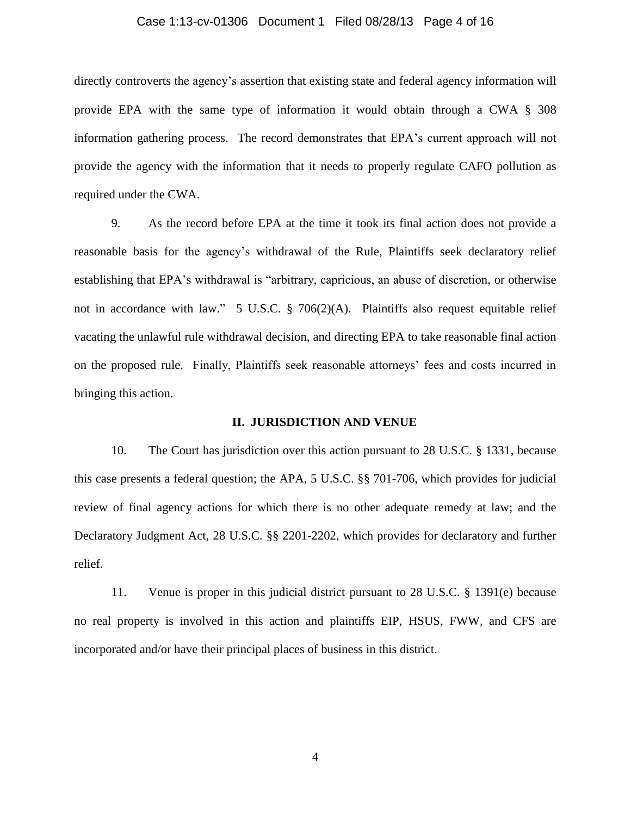#### Case 1:13-cv-01306 Document 1 Filed 08/28/13 Page 4 of 16

directly controverts the agency's assertion that existing state and federal agency information will provide EPA with the same type of information it would obtain through a CWA § 308 information gathering process. The record demonstrates that EPA's current approach will not provide the agency with the information that it needs to properly regulate CAFO pollution as required under the CWA.

9. As the record before EPA at the time it took its final action does not provide a reasonable basis for the agency's withdrawal of the Rule, Plaintiffs seek declaratory relief establishing that EPA's withdrawal is "arbitrary, capricious, an abuse of discretion, or otherwise not in accordance with law." 5 U.S.C. § 706(2)(A). Plaintiffs also request equitable relief vacating the unlawful rule withdrawal decision, and directing EPA to take reasonable final action on the proposed rule. Finally, Plaintiffs seek reasonable attorneys' fees and costs incurred in bringing this action.

#### **II. JURISDICTION AND VENUE**

10. The Court has jurisdiction over this action pursuant to 28 U.S.C. § 1331, because this case presents a federal question; the APA, 5 U.S.C. §§ 701-706, which provides for judicial review of final agency actions for which there is no other adequate remedy at law; and the Declaratory Judgment Act, 28 U.S.C. §§ 2201-2202, which provides for declaratory and further relief.

11. Venue is proper in this judicial district pursuant to 28 U.S.C. § 1391(e) because no real property is involved in this action and plaintiffs EIP, HSUS, FWW, and CFS are incorporated and/or have their principal places of business in this district.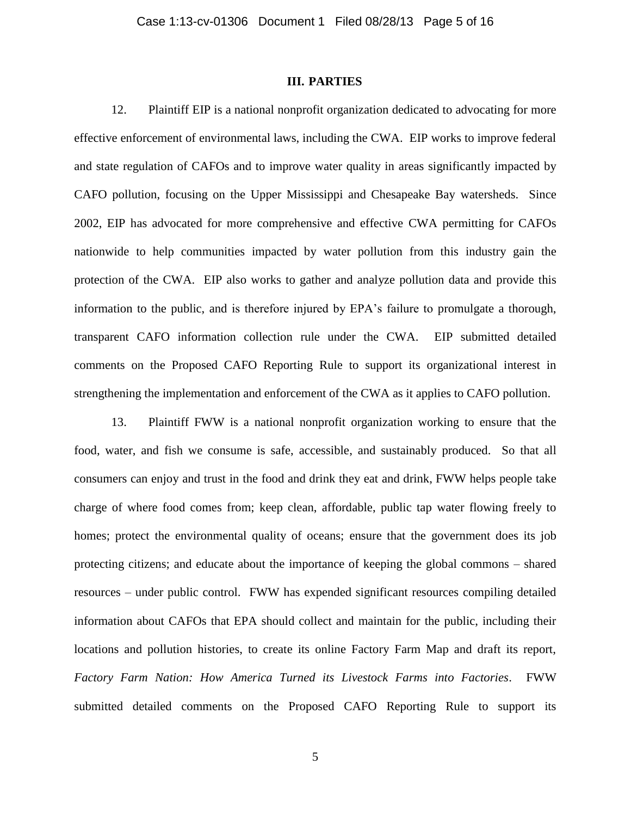#### **III. PARTIES**

12. Plaintiff EIP is a national nonprofit organization dedicated to advocating for more effective enforcement of environmental laws, including the CWA. EIP works to improve federal and state regulation of CAFOs and to improve water quality in areas significantly impacted by CAFO pollution, focusing on the Upper Mississippi and Chesapeake Bay watersheds. Since 2002, EIP has advocated for more comprehensive and effective CWA permitting for CAFOs nationwide to help communities impacted by water pollution from this industry gain the protection of the CWA. EIP also works to gather and analyze pollution data and provide this information to the public, and is therefore injured by EPA's failure to promulgate a thorough, transparent CAFO information collection rule under the CWA. EIP submitted detailed comments on the Proposed CAFO Reporting Rule to support its organizational interest in strengthening the implementation and enforcement of the CWA as it applies to CAFO pollution.

13. Plaintiff FWW is a national nonprofit organization working to ensure that the food, water, and fish we consume is safe, accessible, and sustainably produced. So that all consumers can enjoy and trust in the food and drink they eat and drink, FWW helps people take charge of where food comes from; keep clean, affordable, public tap water flowing freely to homes; protect the environmental quality of oceans; ensure that the government does its job protecting citizens; and educate about the importance of keeping the global commons – shared resources – under public control. FWW has expended significant resources compiling detailed information about CAFOs that EPA should collect and maintain for the public, including their locations and pollution histories, to create its online Factory Farm Map and draft its report, *Factory Farm Nation: How America Turned its Livestock Farms into Factories*. FWW submitted detailed comments on the Proposed CAFO Reporting Rule to support its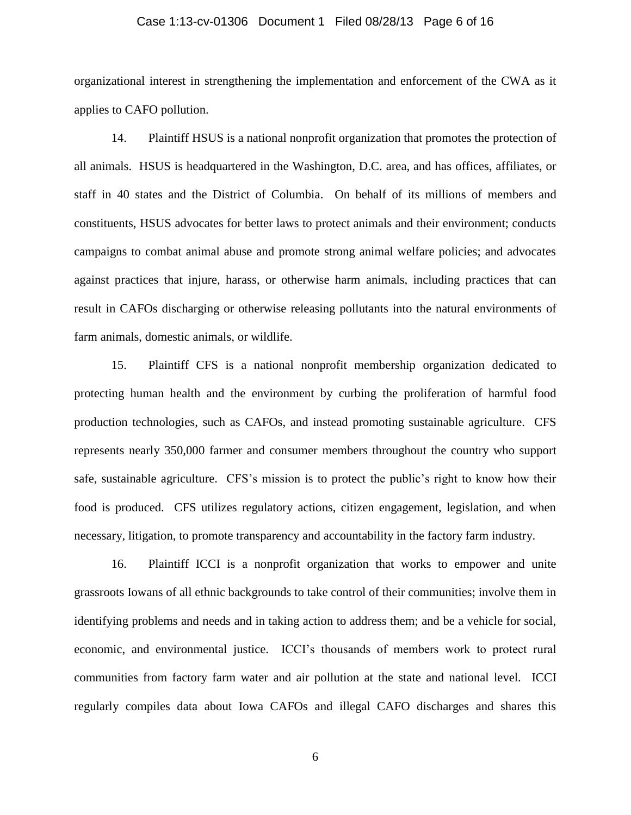#### Case 1:13-cv-01306 Document 1 Filed 08/28/13 Page 6 of 16

organizational interest in strengthening the implementation and enforcement of the CWA as it applies to CAFO pollution.

14. Plaintiff HSUS is a national nonprofit organization that promotes the protection of all animals. HSUS is headquartered in the Washington, D.C. area, and has offices, affiliates, or staff in 40 states and the District of Columbia. On behalf of its millions of members and constituents, HSUS advocates for better laws to protect animals and their environment; conducts campaigns to combat animal abuse and promote strong animal welfare policies; and advocates against practices that injure, harass, or otherwise harm animals, including practices that can result in CAFOs discharging or otherwise releasing pollutants into the natural environments of farm animals, domestic animals, or wildlife.

15. Plaintiff CFS is a national nonprofit membership organization dedicated to protecting human health and the environment by curbing the proliferation of harmful food production technologies, such as CAFOs, and instead promoting sustainable agriculture. CFS represents nearly 350,000 farmer and consumer members throughout the country who support safe, sustainable agriculture. CFS's mission is to protect the public's right to know how their food is produced. CFS utilizes regulatory actions, citizen engagement, legislation, and when necessary, litigation, to promote transparency and accountability in the factory farm industry.

16. Plaintiff ICCI is a nonprofit organization that works to empower and unite grassroots Iowans of all ethnic backgrounds to take control of their communities; involve them in identifying problems and needs and in taking action to address them; and be a vehicle for social, economic, and environmental justice. ICCI's thousands of members work to protect rural communities from factory farm water and air pollution at the state and national level. ICCI regularly compiles data about Iowa CAFOs and illegal CAFO discharges and shares this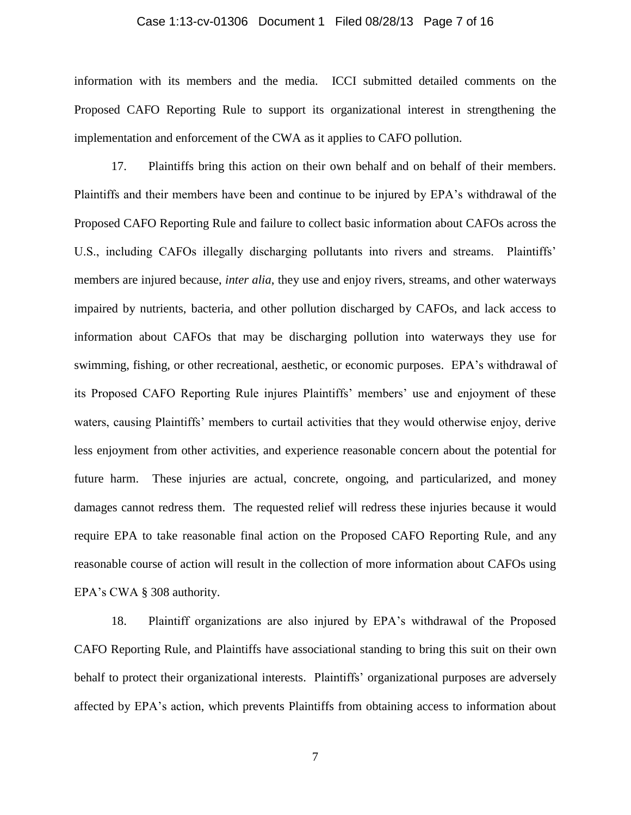#### Case 1:13-cv-01306 Document 1 Filed 08/28/13 Page 7 of 16

information with its members and the media. ICCI submitted detailed comments on the Proposed CAFO Reporting Rule to support its organizational interest in strengthening the implementation and enforcement of the CWA as it applies to CAFO pollution.

17. Plaintiffs bring this action on their own behalf and on behalf of their members. Plaintiffs and their members have been and continue to be injured by EPA's withdrawal of the Proposed CAFO Reporting Rule and failure to collect basic information about CAFOs across the U.S., including CAFOs illegally discharging pollutants into rivers and streams. Plaintiffs' members are injured because, *inter alia*, they use and enjoy rivers, streams, and other waterways impaired by nutrients, bacteria, and other pollution discharged by CAFOs, and lack access to information about CAFOs that may be discharging pollution into waterways they use for swimming, fishing, or other recreational, aesthetic, or economic purposes. EPA's withdrawal of its Proposed CAFO Reporting Rule injures Plaintiffs' members' use and enjoyment of these waters, causing Plaintiffs' members to curtail activities that they would otherwise enjoy, derive less enjoyment from other activities, and experience reasonable concern about the potential for future harm. These injuries are actual, concrete, ongoing, and particularized, and money damages cannot redress them. The requested relief will redress these injuries because it would require EPA to take reasonable final action on the Proposed CAFO Reporting Rule, and any reasonable course of action will result in the collection of more information about CAFOs using EPA's CWA § 308 authority.

18. Plaintiff organizations are also injured by EPA's withdrawal of the Proposed CAFO Reporting Rule, and Plaintiffs have associational standing to bring this suit on their own behalf to protect their organizational interests. Plaintiffs' organizational purposes are adversely affected by EPA's action, which prevents Plaintiffs from obtaining access to information about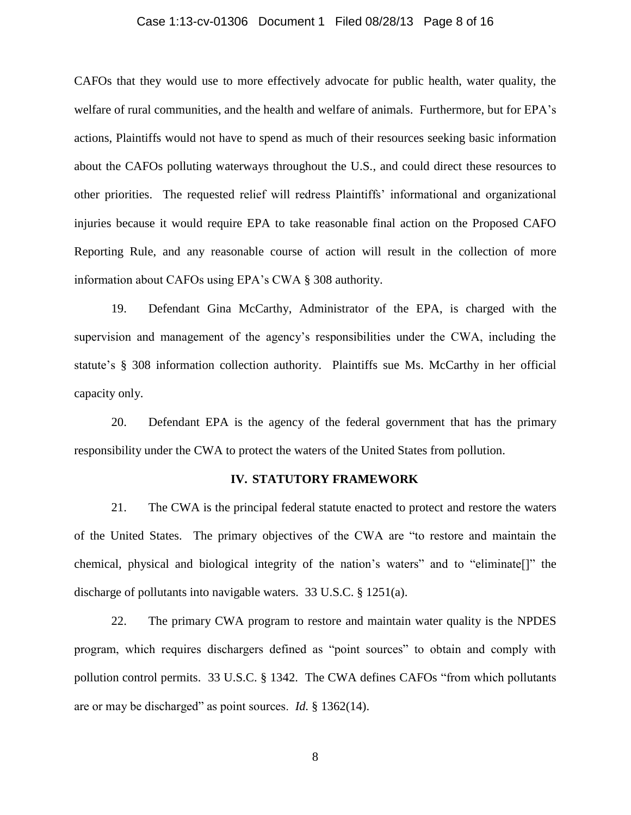#### Case 1:13-cv-01306 Document 1 Filed 08/28/13 Page 8 of 16

CAFOs that they would use to more effectively advocate for public health, water quality, the welfare of rural communities, and the health and welfare of animals. Furthermore, but for EPA's actions, Plaintiffs would not have to spend as much of their resources seeking basic information about the CAFOs polluting waterways throughout the U.S., and could direct these resources to other priorities. The requested relief will redress Plaintiffs' informational and organizational injuries because it would require EPA to take reasonable final action on the Proposed CAFO Reporting Rule, and any reasonable course of action will result in the collection of more information about CAFOs using EPA's CWA § 308 authority.

19. Defendant Gina McCarthy, Administrator of the EPA, is charged with the supervision and management of the agency's responsibilities under the CWA, including the statute's § 308 information collection authority. Plaintiffs sue Ms. McCarthy in her official capacity only.

20. Defendant EPA is the agency of the federal government that has the primary responsibility under the CWA to protect the waters of the United States from pollution.

#### **IV. STATUTORY FRAMEWORK**

21. The CWA is the principal federal statute enacted to protect and restore the waters of the United States. The primary objectives of the CWA are "to restore and maintain the chemical, physical and biological integrity of the nation's waters" and to "eliminate[]" the discharge of pollutants into navigable waters. 33 U.S.C. § 1251(a).

22. The primary CWA program to restore and maintain water quality is the NPDES program, which requires dischargers defined as "point sources" to obtain and comply with pollution control permits. 33 U.S.C. § 1342. The CWA defines CAFOs "from which pollutants are or may be discharged" as point sources. *Id.* § 1362(14).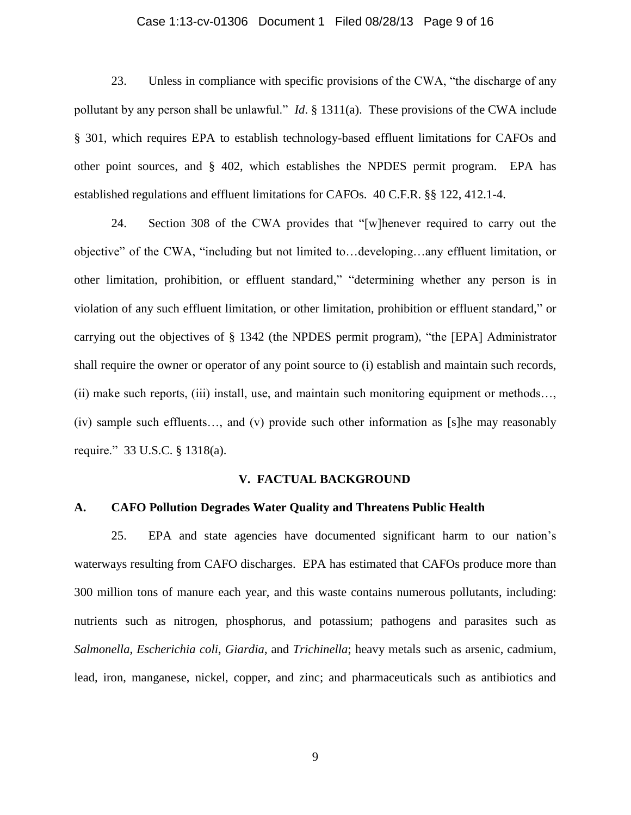#### Case 1:13-cv-01306 Document 1 Filed 08/28/13 Page 9 of 16

23. Unless in compliance with specific provisions of the CWA, "the discharge of any pollutant by any person shall be unlawful." *Id*. § 1311(a). These provisions of the CWA include § 301, which requires EPA to establish technology-based effluent limitations for CAFOs and other point sources, and § 402, which establishes the NPDES permit program. EPA has established regulations and effluent limitations for CAFOs. 40 C.F.R. §§ 122, 412.1-4.

24. Section 308 of the CWA provides that "[w]henever required to carry out the objective" of the CWA, "including but not limited to…developing…any effluent limitation, or other limitation, prohibition, or effluent standard," "determining whether any person is in violation of any such effluent limitation, or other limitation, prohibition or effluent standard," or carrying out the objectives of § 1342 (the NPDES permit program), "the [EPA] Administrator shall require the owner or operator of any point source to (i) establish and maintain such records, (ii) make such reports, (iii) install, use, and maintain such monitoring equipment or methods…, (iv) sample such effluents…, and (v) provide such other information as [s]he may reasonably require." 33 U.S.C. § 1318(a).

#### **V. FACTUAL BACKGROUND**

### **A. CAFO Pollution Degrades Water Quality and Threatens Public Health**

25. EPA and state agencies have documented significant harm to our nation's waterways resulting from CAFO discharges. EPA has estimated that CAFOs produce more than 300 million tons of manure each year, and this waste contains numerous pollutants, including: nutrients such as nitrogen, phosphorus, and potassium; pathogens and parasites such as *Salmonella*, *Escherichia coli*, *Giardia*, and *Trichinella*; heavy metals such as arsenic, cadmium, lead, iron, manganese, nickel, copper, and zinc; and pharmaceuticals such as antibiotics and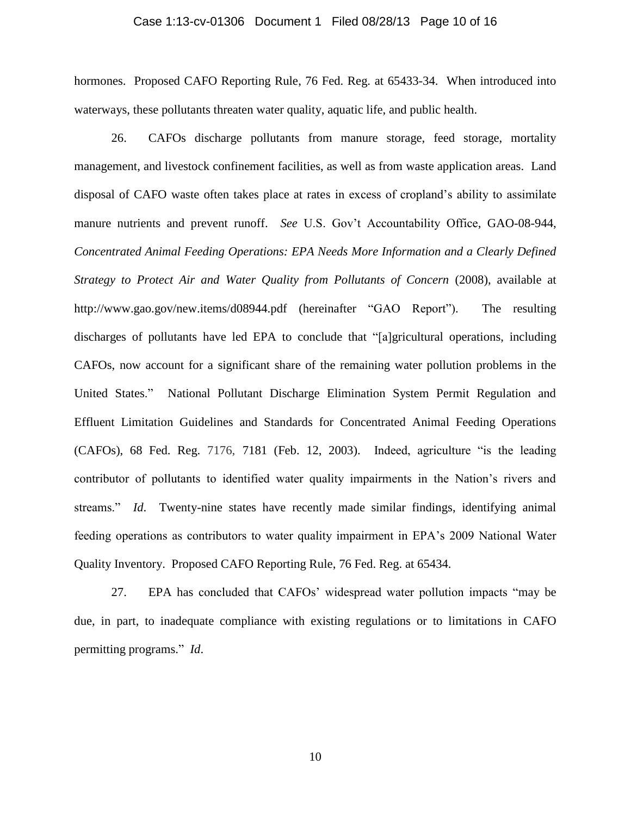#### Case 1:13-cv-01306 Document 1 Filed 08/28/13 Page 10 of 16

hormones. Proposed CAFO Reporting Rule, 76 Fed. Reg. at 65433-34. When introduced into waterways, these pollutants threaten water quality, aquatic life, and public health.

26. CAFOs discharge pollutants from manure storage, feed storage, mortality management, and livestock confinement facilities, as well as from waste application areas. Land disposal of CAFO waste often takes place at rates in excess of cropland's ability to assimilate manure nutrients and prevent runoff. *See* U.S. Gov't Accountability Office, GAO-08-944, *Concentrated Animal Feeding Operations: EPA Needs More Information and a Clearly Defined Strategy to Protect Air and Water Quality from Pollutants of Concern* (2008), available at [http://www.gao.gov/new.items/d08944.pdf](www.gao.gov/new.items/d08944.pdf) (hereinafter "GAO Report"). The resulting discharges of pollutants have led EPA to conclude that "[a]gricultural operations, including CAFOs, now account for a significant share of the remaining water pollution problems in the United States." National Pollutant Discharge Elimination System Permit Regulation and Effluent Limitation Guidelines and Standards for Concentrated Animal Feeding Operations (CAFOs), 68 Fed. Reg. 7176, 7181 (Feb. 12, 2003). Indeed, agriculture "is the leading contributor of pollutants to identified water quality impairments in the Nation's rivers and streams." *Id*. Twenty-nine states have recently made similar findings, identifying animal feeding operations as contributors to water quality impairment in EPA's 2009 National Water Quality Inventory. Proposed CAFO Reporting Rule, 76 Fed. Reg. at 65434.

27. EPA has concluded that CAFOs' widespread water pollution impacts "may be due, in part, to inadequate compliance with existing regulations or to limitations in CAFO permitting programs." *Id*.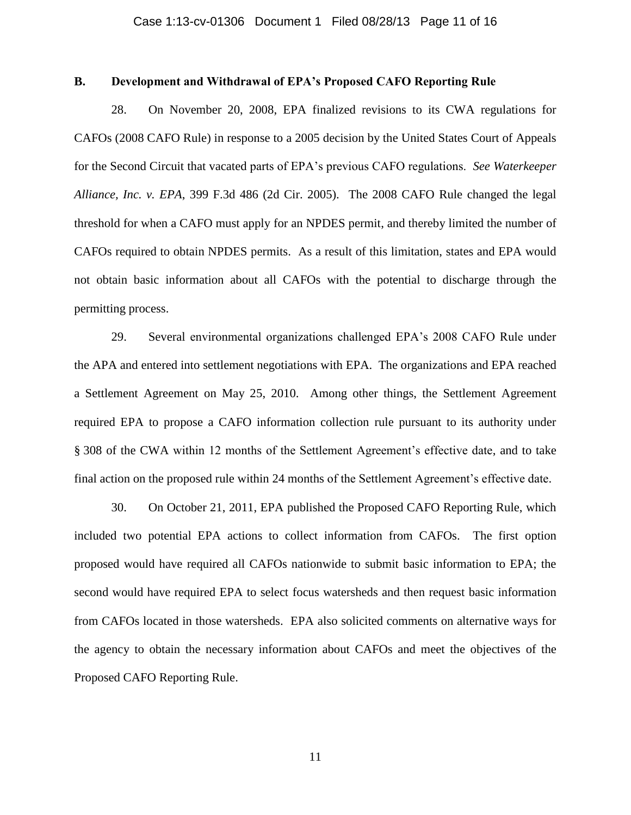# **B. Development and Withdrawal of EPA's Proposed CAFO Reporting Rule**

28. On November 20, 2008, EPA finalized revisions to its CWA regulations for CAFOs (2008 CAFO Rule) in response to a 2005 decision by the United States Court of Appeals for the Second Circuit that vacated parts of EPA's previous CAFO regulations. *See Waterkeeper Alliance, Inc. v. EPA*, 399 F.3d 486 (2d Cir. 2005). The 2008 CAFO Rule changed the legal threshold for when a CAFO must apply for an NPDES permit, and thereby limited the number of CAFOs required to obtain NPDES permits. As a result of this limitation, states and EPA would not obtain basic information about all CAFOs with the potential to discharge through the permitting process.

29. Several environmental organizations challenged EPA's 2008 CAFO Rule under the APA and entered into settlement negotiations with EPA. The organizations and EPA reached a Settlement Agreement on May 25, 2010. Among other things, the Settlement Agreement required EPA to propose a CAFO information collection rule pursuant to its authority under § 308 of the CWA within 12 months of the Settlement Agreement's effective date, and to take final action on the proposed rule within 24 months of the Settlement Agreement's effective date.

30. On October 21, 2011, EPA published the Proposed CAFO Reporting Rule, which included two potential EPA actions to collect information from CAFOs. The first option proposed would have required all CAFOs nationwide to submit basic information to EPA; the second would have required EPA to select focus watersheds and then request basic information from CAFOs located in those watersheds. EPA also solicited comments on alternative ways for the agency to obtain the necessary information about CAFOs and meet the objectives of the Proposed CAFO Reporting Rule.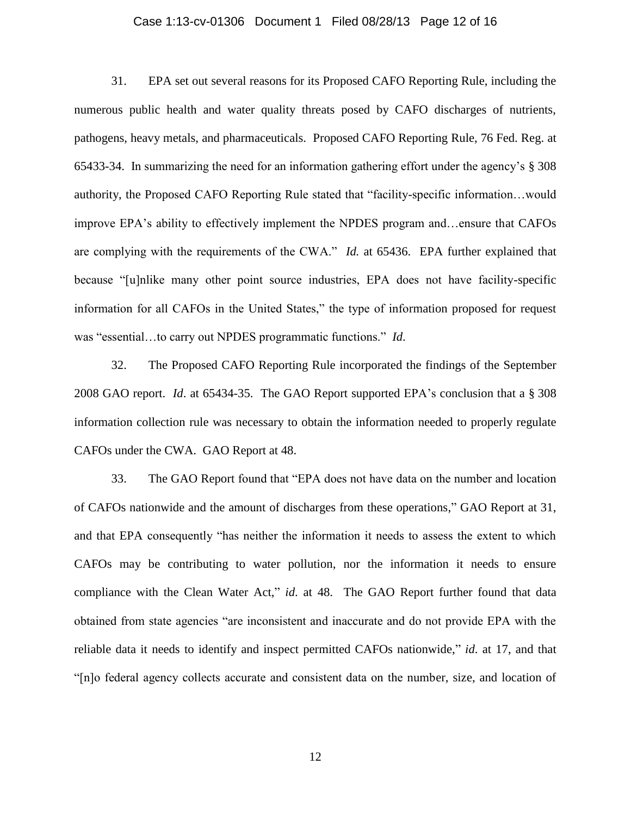#### Case 1:13-cv-01306 Document 1 Filed 08/28/13 Page 12 of 16

31. EPA set out several reasons for its Proposed CAFO Reporting Rule, including the numerous public health and water quality threats posed by CAFO discharges of nutrients, pathogens, heavy metals, and pharmaceuticals. Proposed CAFO Reporting Rule, 76 Fed. Reg. at 65433-34. In summarizing the need for an information gathering effort under the agency's § 308 authority, the Proposed CAFO Reporting Rule stated that "facility-specific information…would improve EPA's ability to effectively implement the NPDES program and…ensure that CAFOs are complying with the requirements of the CWA." *Id.* at 65436. EPA further explained that because "[u]nlike many other point source industries, EPA does not have facility-specific information for all CAFOs in the United States," the type of information proposed for request was "essential…to carry out NPDES programmatic functions." *Id*.

32. The Proposed CAFO Reporting Rule incorporated the findings of the September 2008 GAO report. *Id*. at 65434-35. The GAO Report supported EPA's conclusion that a § 308 information collection rule was necessary to obtain the information needed to properly regulate CAFOs under the CWA. GAO Report at 48.

33. The GAO Report found that "EPA does not have data on the number and location of CAFOs nationwide and the amount of discharges from these operations," GAO Report at 31, and that EPA consequently "has neither the information it needs to assess the extent to which CAFOs may be contributing to water pollution, nor the information it needs to ensure compliance with the Clean Water Act," *id*. at 48. The GAO Report further found that data obtained from state agencies "are inconsistent and inaccurate and do not provide EPA with the reliable data it needs to identify and inspect permitted CAFOs nationwide," *id*. at 17, and that "[n]o federal agency collects accurate and consistent data on the number, size, and location of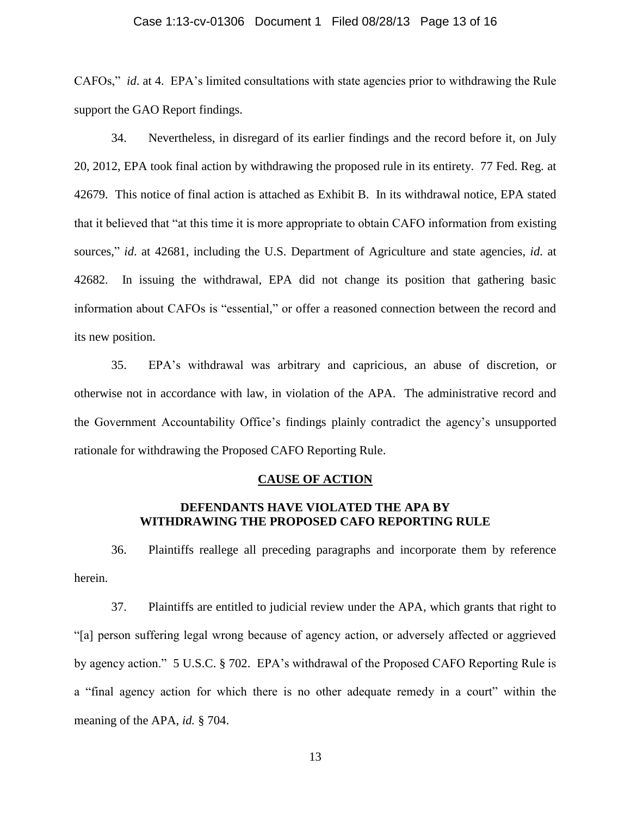#### Case 1:13-cv-01306 Document 1 Filed 08/28/13 Page 13 of 16

CAFOs," *id*. at 4. EPA's limited consultations with state agencies prior to withdrawing the Rule support the GAO Report findings.

34. Nevertheless, in disregard of its earlier findings and the record before it, on July 20, 2012, EPA took final action by withdrawing the proposed rule in its entirety. 77 Fed. Reg. at 42679. This notice of final action is attached as Exhibit B. In its withdrawal notice, EPA stated that it believed that "at this time it is more appropriate to obtain CAFO information from existing sources," *id.* at 42681, including the U.S. Department of Agriculture and state agencies, *id.* at 42682. In issuing the withdrawal, EPA did not change its position that gathering basic information about CAFOs is "essential," or offer a reasoned connection between the record and its new position.

35. EPA's withdrawal was arbitrary and capricious, an abuse of discretion, or otherwise not in accordance with law, in violation of the APA. The administrative record and the Government Accountability Office's findings plainly contradict the agency's unsupported rationale for withdrawing the Proposed CAFO Reporting Rule.

# **CAUSE OF ACTION**

## **DEFENDANTS HAVE VIOLATED THE APA BY WITHDRAWING THE PROPOSED CAFO REPORTING RULE**

36. Plaintiffs reallege all preceding paragraphs and incorporate them by reference herein.

37. Plaintiffs are entitled to judicial review under the APA, which grants that right to "[a] person suffering legal wrong because of agency action, or adversely affected or aggrieved by agency action." 5 U.S.C. § 702. EPA's withdrawal of the Proposed CAFO Reporting Rule is a "final agency action for which there is no other adequate remedy in a court" within the meaning of the APA, *id.* § 704.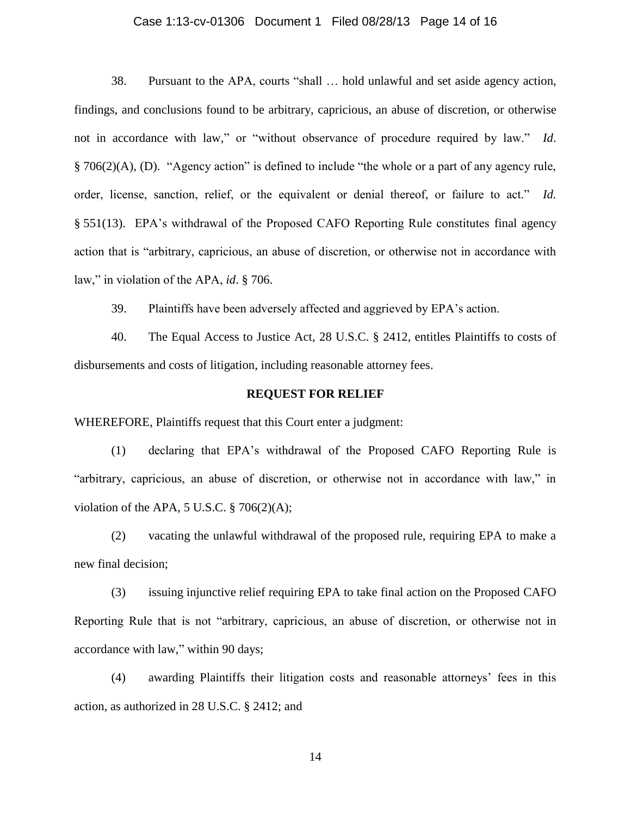# Case 1:13-cv-01306 Document 1 Filed 08/28/13 Page 14 of 16

38. Pursuant to the APA, courts "shall … hold unlawful and set aside agency action, findings, and conclusions found to be arbitrary, capricious, an abuse of discretion, or otherwise not in accordance with law," or "without observance of procedure required by law." *Id*. § 706(2)(A), (D). "Agency action" is defined to include "the whole or a part of any agency rule, order, license, sanction, relief, or the equivalent or denial thereof, or failure to act." *Id.*  § 551(13). EPA's withdrawal of the Proposed CAFO Reporting Rule constitutes final agency action that is "arbitrary, capricious, an abuse of discretion, or otherwise not in accordance with law," in violation of the APA, *id*. § 706.

39. Plaintiffs have been adversely affected and aggrieved by EPA's action.

40. The Equal Access to Justice Act, 28 U.S.C. § 2412, entitles Plaintiffs to costs of disbursements and costs of litigation, including reasonable attorney fees.

#### **REQUEST FOR RELIEF**

WHEREFORE, Plaintiffs request that this Court enter a judgment:

(1) declaring that EPA's withdrawal of the Proposed CAFO Reporting Rule is "arbitrary, capricious, an abuse of discretion, or otherwise not in accordance with law," in violation of the APA, 5 U.S.C.  $\S$  706(2)(A);

(2) vacating the unlawful withdrawal of the proposed rule, requiring EPA to make a new final decision;

(3) issuing injunctive relief requiring EPA to take final action on the Proposed CAFO Reporting Rule that is not "arbitrary, capricious, an abuse of discretion, or otherwise not in accordance with law," within 90 days;

(4) awarding Plaintiffs their litigation costs and reasonable attorneys' fees in this action, as authorized in 28 U.S.C. § 2412; and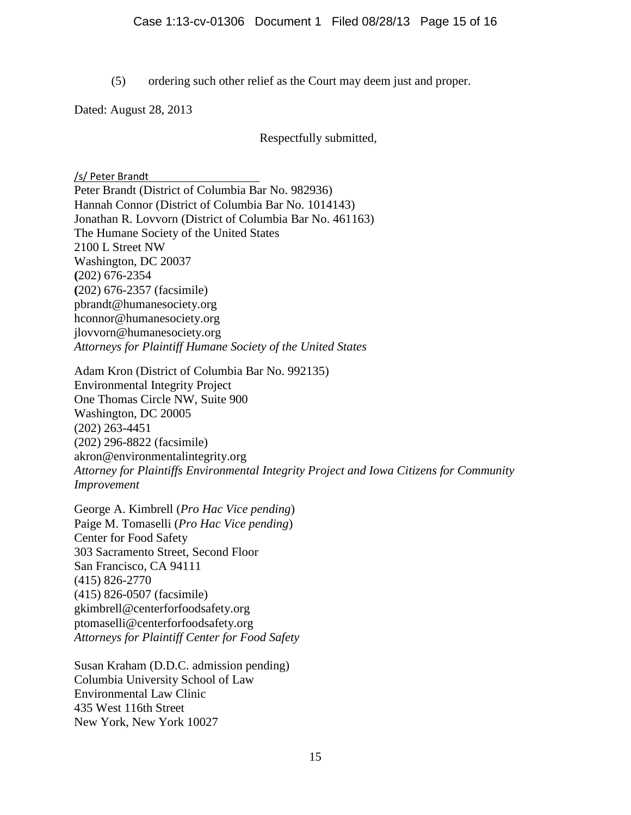(5) ordering such other relief as the Court may deem just and proper.

Dated: August 28, 2013

Respectfully submitted,

/s/ Peter Brandt

Peter Brandt (District of Columbia Bar No. 982936) Hannah Connor (District of Columbia Bar No. 1014143) Jonathan R. Lovvorn (District of Columbia Bar No. 461163) The Humane Society of the United States 2100 L Street NW Washington, DC 20037 **(**202) 676-2354 **(**202) 676-2357 (facsimile) pbrandt@humanesociety.org hconnor@humanesociety.org jlovvorn@humanesociety.org *Attorneys for Plaintiff Humane Society of the United States*

Adam Kron (District of Columbia Bar No. 992135) Environmental Integrity Project One Thomas Circle NW, Suite 900 Washington, DC 20005 (202) 263-4451 (202) 296-8822 (facsimile) akron@environmentalintegrity.org *Attorney for Plaintiffs Environmental Integrity Project and Iowa Citizens for Community Improvement*

George A. Kimbrell (*Pro Hac Vice pending*) Paige M. Tomaselli (*Pro Hac Vice pending*) Center for Food Safety 303 Sacramento Street, Second Floor San Francisco, CA 94111 (415) 826-2770 (415) 826-0507 (facsimile) gkimbrell@centerforfoodsafety.org ptomaselli@centerforfoodsafety.org *Attorneys for Plaintiff Center for Food Safety*

Susan Kraham (D.D.C. admission pending) Columbia University School of Law Environmental Law Clinic 435 West 116th Street New York, New York 10027